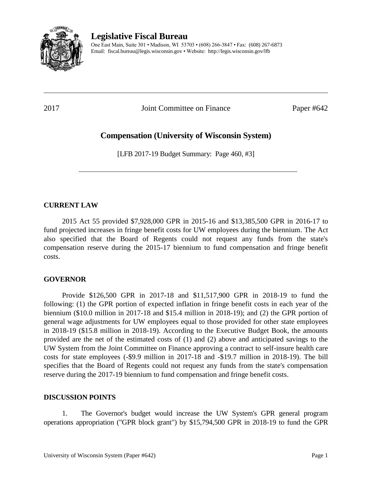

# **Legislative Fiscal Bureau**

One East Main, Suite 301 • Madison, WI 53703 • (608) 266-3847 • Fax: (608) 267-6873 Email: fiscal.bureau@legis.wisconsin.gov • Website:<http://legis.wisconsin.gov/lfb>

2017 Joint Committee on Finance Paper #642

# **Compensation (University of Wisconsin System)**

[LFB 2017-19 Budget Summary: Page 460, #3]

### **CURRENT LAW**

2015 Act 55 provided \$7,928,000 GPR in 2015-16 and \$13,385,500 GPR in 2016-17 to fund projected increases in fringe benefit costs for UW employees during the biennium. The Act also specified that the Board of Regents could not request any funds from the state's compensation reserve during the 2015-17 biennium to fund compensation and fringe benefit costs.

### **GOVERNOR**

Provide \$126,500 GPR in 2017-18 and \$11,517,900 GPR in 2018-19 to fund the following: (1) the GPR portion of expected inflation in fringe benefit costs in each year of the biennium (\$10.0 million in 2017-18 and \$15.4 million in 2018-19); and (2) the GPR portion of general wage adjustments for UW employees equal to those provided for other state employees in 2018-19 (\$15.8 million in 2018-19). According to the Executive Budget Book, the amounts provided are the net of the estimated costs of (1) and (2) above and anticipated savings to the UW System from the Joint Committee on Finance approving a contract to self-insure health care costs for state employees (-\$9.9 million in 2017-18 and -\$19.7 million in 2018-19). The bill specifies that the Board of Regents could not request any funds from the state's compensation reserve during the 2017-19 biennium to fund compensation and fringe benefit costs.

#### **DISCUSSION POINTS**

1. The Governor's budget would increase the UW System's GPR general program operations appropriation ("GPR block grant") by \$15,794,500 GPR in 2018-19 to fund the GPR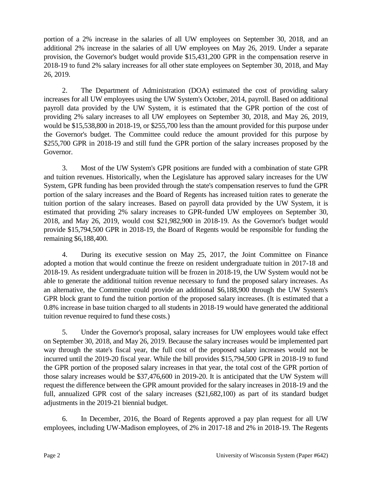portion of a 2% increase in the salaries of all UW employees on September 30, 2018, and an additional 2% increase in the salaries of all UW employees on May 26, 2019. Under a separate provision, the Governor's budget would provide \$15,431,200 GPR in the compensation reserve in 2018-19 to fund 2% salary increases for all other state employees on September 30, 2018, and May 26, 2019.

2. The Department of Administration (DOA) estimated the cost of providing salary increases for all UW employees using the UW System's October, 2014, payroll. Based on additional payroll data provided by the UW System, it is estimated that the GPR portion of the cost of providing 2% salary increases to all UW employees on September 30, 2018, and May 26, 2019, would be \$15,538,800 in 2018-19, or \$255,700 less than the amount provided for this purpose under the Governor's budget. The Committee could reduce the amount provided for this purpose by \$255,700 GPR in 2018-19 and still fund the GPR portion of the salary increases proposed by the Governor.

3. Most of the UW System's GPR positions are funded with a combination of state GPR and tuition revenues. Historically, when the Legislature has approved salary increases for the UW System, GPR funding has been provided through the state's compensation reserves to fund the GPR portion of the salary increases and the Board of Regents has increased tuition rates to generate the tuition portion of the salary increases. Based on payroll data provided by the UW System, it is estimated that providing 2% salary increases to GPR-funded UW employees on September 30, 2018, and May 26, 2019, would cost \$21,982,900 in 2018-19. As the Governor's budget would provide \$15,794,500 GPR in 2018-19, the Board of Regents would be responsible for funding the remaining \$6,188,400.

4. During its executive session on May 25, 2017, the Joint Committee on Finance adopted a motion that would continue the freeze on resident undergraduate tuition in 2017-18 and 2018-19. As resident undergraduate tuition will be frozen in 2018-19, the UW System would not be able to generate the additional tuition revenue necessary to fund the proposed salary increases. As an alternative, the Committee could provide an additional \$6,188,900 through the UW System's GPR block grant to fund the tuition portion of the proposed salary increases. (It is estimated that a 0.8% increase in base tuition charged to all students in 2018-19 would have generated the additional tuition revenue required to fund these costs.)

5. Under the Governor's proposal, salary increases for UW employees would take effect on September 30, 2018, and May 26, 2019. Because the salary increases would be implemented part way through the state's fiscal year, the full cost of the proposed salary increases would not be incurred until the 2019-20 fiscal year. While the bill provides \$15,794,500 GPR in 2018-19 to fund the GPR portion of the proposed salary increases in that year, the total cost of the GPR portion of those salary increases would be \$37,476,600 in 2019-20. It is anticipated that the UW System will request the difference between the GPR amount provided for the salary increases in 2018-19 and the full, annualized GPR cost of the salary increases (\$21,682,100) as part of its standard budget adjustments in the 2019-21 biennial budget.

6. In December, 2016, the Board of Regents approved a pay plan request for all UW employees, including UW-Madison employees, of 2% in 2017-18 and 2% in 2018-19. The Regents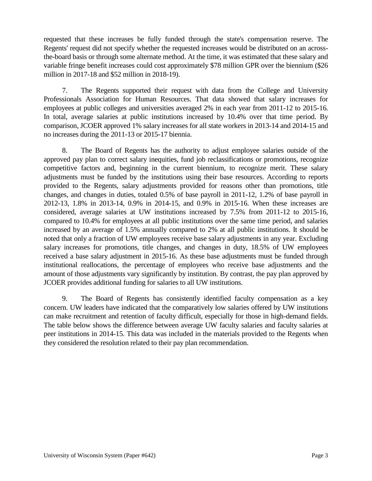requested that these increases be fully funded through the state's compensation reserve. The Regents' request did not specify whether the requested increases would be distributed on an acrossthe-board basis or through some alternate method. At the time, it was estimated that these salary and variable fringe benefit increases could cost approximately \$78 million GPR over the biennium (\$26 million in 2017-18 and \$52 million in 2018-19).

7. The Regents supported their request with data from the College and University Professionals Association for Human Resources. That data showed that salary increases for employees at public colleges and universities averaged 2% in each year from 2011-12 to 2015-16. In total, average salaries at public institutions increased by 10.4% over that time period. By comparison, JCOER approved 1% salary increases for all state workers in 2013-14 and 2014-15 and no increases during the 2011-13 or 2015-17 biennia.

8. The Board of Regents has the authority to adjust employee salaries outside of the approved pay plan to correct salary inequities, fund job reclassifications or promotions, recognize competitive factors and, beginning in the current biennium, to recognize merit. These salary adjustments must be funded by the institutions using their base resources. According to reports provided to the Regents, salary adjustments provided for reasons other than promotions, title changes, and changes in duties, totaled 0.5% of base payroll in 2011-12, 1.2% of base payroll in 2012-13, 1.8% in 2013-14, 0.9% in 2014-15, and 0.9% in 2015-16. When these increases are considered, average salaries at UW institutions increased by 7.5% from 2011-12 to 2015-16, compared to 10.4% for employees at all public institutions over the same time period, and salaries increased by an average of 1.5% annually compared to 2% at all public institutions. It should be noted that only a fraction of UW employees receive base salary adjustments in any year. Excluding salary increases for promotions, title changes, and changes in duty, 18.5% of UW employees received a base salary adjustment in 2015-16. As these base adjustments must be funded through institutional reallocations, the percentage of employees who receive base adjustments and the amount of those adjustments vary significantly by institution. By contrast, the pay plan approved by JCOER provides additional funding for salaries to all UW institutions.

9. The Board of Regents has consistently identified faculty compensation as a key concern. UW leaders have indicated that the comparatively low salaries offered by UW institutions can make recruitment and retention of faculty difficult, especially for those in high-demand fields. The table below shows the difference between average UW faculty salaries and faculty salaries at peer institutions in 2014-15. This data was included in the materials provided to the Regents when they considered the resolution related to their pay plan recommendation.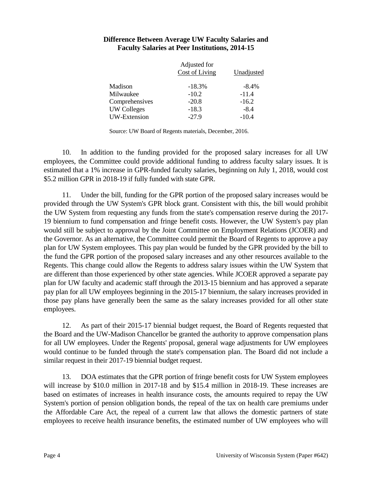|                     | Adjusted for          |            |
|---------------------|-----------------------|------------|
|                     | <b>Cost of Living</b> | Unadjusted |
| Madison             | $-18.3%$              | $-8.4%$    |
| Milwaukee           | $-10.2$               | $-11.4$    |
| Comprehensives      | $-20.8$               | $-16.2$    |
| <b>UW Colleges</b>  | $-18.3$               | $-8.4$     |
| <b>UW-Extension</b> | $-27.9$               | $-10.4$    |

#### **Difference Between Average UW Faculty Salaries and Faculty Salaries at Peer Institutions, 2014-15**

Source: UW Board of Regents materials, December, 2016.

10. In addition to the funding provided for the proposed salary increases for all UW employees, the Committee could provide additional funding to address faculty salary issues. It is estimated that a 1% increase in GPR-funded faculty salaries, beginning on July 1, 2018, would cost \$5.2 million GPR in 2018-19 if fully funded with state GPR.

11. Under the bill, funding for the GPR portion of the proposed salary increases would be provided through the UW System's GPR block grant. Consistent with this, the bill would prohibit the UW System from requesting any funds from the state's compensation reserve during the 2017- 19 biennium to fund compensation and fringe benefit costs. However, the UW System's pay plan would still be subject to approval by the Joint Committee on Employment Relations (JCOER) and the Governor. As an alternative, the Committee could permit the Board of Regents to approve a pay plan for UW System employees. This pay plan would be funded by the GPR provided by the bill to the fund the GPR portion of the proposed salary increases and any other resources available to the Regents. This change could allow the Regents to address salary issues within the UW System that are different than those experienced by other state agencies. While JCOER approved a separate pay plan for UW faculty and academic staff through the 2013-15 biennium and has approved a separate pay plan for all UW employees beginning in the 2015-17 biennium, the salary increases provided in those pay plans have generally been the same as the salary increases provided for all other state employees.

12. As part of their 2015-17 biennial budget request, the Board of Regents requested that the Board and the UW-Madison Chancellor be granted the authority to approve compensation plans for all UW employees. Under the Regents' proposal, general wage adjustments for UW employees would continue to be funded through the state's compensation plan. The Board did not include a similar request in their 2017-19 biennial budget request.

13. DOA estimates that the GPR portion of fringe benefit costs for UW System employees will increase by \$10.0 million in 2017-18 and by \$15.4 million in 2018-19. These increases are based on estimates of increases in health insurance costs, the amounts required to repay the UW System's portion of pension obligation bonds, the repeal of the tax on health care premiums under the Affordable Care Act, the repeal of a current law that allows the domestic partners of state employees to receive health insurance benefits, the estimated number of UW employees who will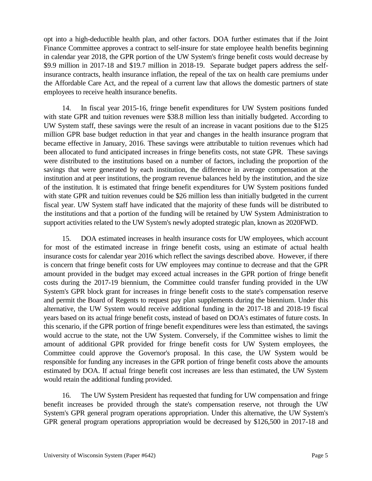opt into a high-deductible health plan, and other factors. DOA further estimates that if the Joint Finance Committee approves a contract to self-insure for state employee health benefits beginning in calendar year 2018, the GPR portion of the UW System's fringe benefit costs would decrease by \$9.9 million in 2017-18 and \$19.7 million in 2018-19. Separate budget papers address the selfinsurance contracts, health insurance inflation, the repeal of the tax on health care premiums under the Affordable Care Act, and the repeal of a current law that allows the domestic partners of state employees to receive health insurance benefits.

14. In fiscal year 2015-16, fringe benefit expenditures for UW System positions funded with state GPR and tuition revenues were \$38.8 million less than initially budgeted. According to UW System staff, these savings were the result of an increase in vacant positions due to the \$125 million GPR base budget reduction in that year and changes in the health insurance program that became effective in January, 2016. These savings were attributable to tuition revenues which had been allocated to fund anticipated increases in fringe benefits costs, not state GPR. These savings were distributed to the institutions based on a number of factors, including the proportion of the savings that were generated by each institution, the difference in average compensation at the institution and at peer institutions, the program revenue balances held by the institution, and the size of the institution. It is estimated that fringe benefit expenditures for UW System positions funded with state GPR and tuition revenues could be \$26 million less than initially budgeted in the current fiscal year. UW System staff have indicated that the majority of these funds will be distributed to the institutions and that a portion of the funding will be retained by UW System Administration to support activities related to the UW System's newly adopted strategic plan, known as 2020FWD.

15. DOA estimated increases in health insurance costs for UW employees, which account for most of the estimated increase in fringe benefit costs, using an estimate of actual health insurance costs for calendar year 2016 which reflect the savings described above. However, if there is concern that fringe benefit costs for UW employees may continue to decrease and that the GPR amount provided in the budget may exceed actual increases in the GPR portion of fringe benefit costs during the 2017-19 biennium, the Committee could transfer funding provided in the UW System's GPR block grant for increases in fringe benefit costs to the state's compensation reserve and permit the Board of Regents to request pay plan supplements during the biennium. Under this alternative, the UW System would receive additional funding in the 2017-18 and 2018-19 fiscal years based on its actual fringe benefit costs, instead of based on DOA's estimates of future costs. In this scenario, if the GPR portion of fringe benefit expenditures were less than estimated, the savings would accrue to the state, not the UW System. Conversely, if the Committee wishes to limit the amount of additional GPR provided for fringe benefit costs for UW System employees, the Committee could approve the Governor's proposal. In this case, the UW System would be responsible for funding any increases in the GPR portion of fringe benefit costs above the amounts estimated by DOA. If actual fringe benefit cost increases are less than estimated, the UW System would retain the additional funding provided.

16. The UW System President has requested that funding for UW compensation and fringe benefit increases be provided through the state's compensation reserve, not through the UW System's GPR general program operations appropriation. Under this alternative, the UW System's GPR general program operations appropriation would be decreased by \$126,500 in 2017-18 and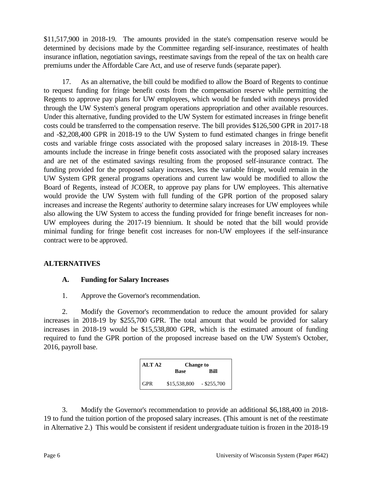\$11,517,900 in 2018-19. The amounts provided in the state's compensation reserve would be determined by decisions made by the Committee regarding self-insurance, reestimates of health insurance inflation, negotiation savings, reestimate savings from the repeal of the tax on health care premiums under the Affordable Care Act, and use of reserve funds (separate paper).

17. As an alternative, the bill could be modified to allow the Board of Regents to continue to request funding for fringe benefit costs from the compensation reserve while permitting the Regents to approve pay plans for UW employees, which would be funded with moneys provided through the UW System's general program operations appropriation and other available resources. Under this alternative, funding provided to the UW System for estimated increases in fringe benefit costs could be transferred to the compensation reserve. The bill provides \$126,500 GPR in 2017-18 and -\$2,208,400 GPR in 2018-19 to the UW System to fund estimated changes in fringe benefit costs and variable fringe costs associated with the proposed salary increases in 2018-19. These amounts include the increase in fringe benefit costs associated with the proposed salary increases and are net of the estimated savings resulting from the proposed self-insurance contract. The funding provided for the proposed salary increases, less the variable fringe, would remain in the UW System GPR general programs operations and current law would be modified to allow the Board of Regents, instead of JCOER, to approve pay plans for UW employees. This alternative would provide the UW System with full funding of the GPR portion of the proposed salary increases and increase the Regents' authority to determine salary increases for UW employees while also allowing the UW System to access the funding provided for fringe benefit increases for non-UW employees during the 2017-19 biennium. It should be noted that the bill would provide minimal funding for fringe benefit cost increases for non-UW employees if the self-insurance contract were to be approved.

### **ALTERNATIVES**

### **A. Funding for Salary Increases**

1. Approve the Governor's recommendation.

2. Modify the Governor's recommendation to reduce the amount provided for salary increases in 2018-19 by \$255,700 GPR. The total amount that would be provided for salary increases in 2018-19 would be \$15,538,800 GPR, which is the estimated amount of funding required to fund the GPR portion of the proposed increase based on the UW System's October, 2016, payroll base.

| ALT <sub>A2</sub> | <b>Change to</b>          |      |
|-------------------|---------------------------|------|
|                   | <b>Base</b>               | Rill |
| <b>GPR</b>        | $$15,538,800$ - \$255,700 |      |

3. Modify the Governor's recommendation to provide an additional \$6,188,400 in 2018- 19 to fund the tuition portion of the proposed salary increases. (This amount is net of the reestimate in Alternative 2.) This would be consistent if resident undergraduate tuition is frozen in the 2018-19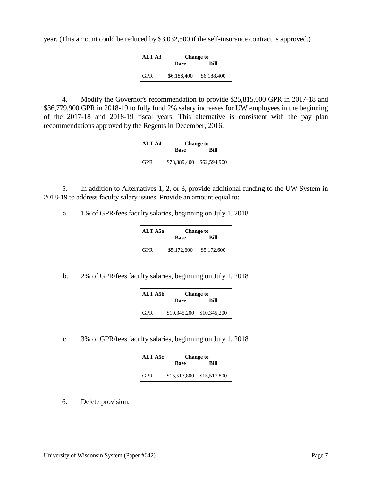year. (This amount could be reduced by \$3,032,500 if the self-insurance contract is approved.)

| ALT A3     | <b>Change to</b> |             |
|------------|------------------|-------------|
|            | <b>Base</b>      | Rill        |
| <b>GPR</b> | \$6,188,400      | \$6,188,400 |

4. Modify the Governor's recommendation to provide \$25,815,000 GPR in 2017-18 and \$36,779,900 GPR in 2018-19 to fully fund 2% salary increases for UW employees in the beginning of the 2017-18 and 2018-19 fiscal years. This alternative is consistent with the pay plan recommendations approved by the Regents in December, 2016.

| ALT A4     | <b>Change to</b> |                           |
|------------|------------------|---------------------------|
|            | Base             | Rill                      |
| <b>GPR</b> |                  | \$78,389,400 \$62,594,900 |

5. In addition to Alternatives 1, 2, or 3, provide additional funding to the UW System in 2018-19 to address faculty salary issues. Provide an amount equal to:

a. 1% of GPR/fees faculty salaries, beginning on July 1, 2018.

| ALT A5a | <b>Change to</b> |             |
|---------|------------------|-------------|
|         | <b>Base</b>      | Rill        |
| GPR     | \$5,172,600      | \$5,172,600 |

b. 2% of GPR/fees faculty salaries, beginning on July 1, 2018.

| ALT A5b    | <b>Change to</b>          |             |
|------------|---------------------------|-------------|
|            | <b>Base</b>               | <b>Bill</b> |
| <b>GPR</b> | \$10,345,200 \$10,345,200 |             |

c. 3% of GPR/fees faculty salaries, beginning on July 1, 2018.

| ALT A5c    | <b>Change to</b>          |      |
|------------|---------------------------|------|
|            | <b>Base</b>               | Rill |
| <b>GPR</b> | \$15,517,800 \$15,517,800 |      |

6. Delete provision.